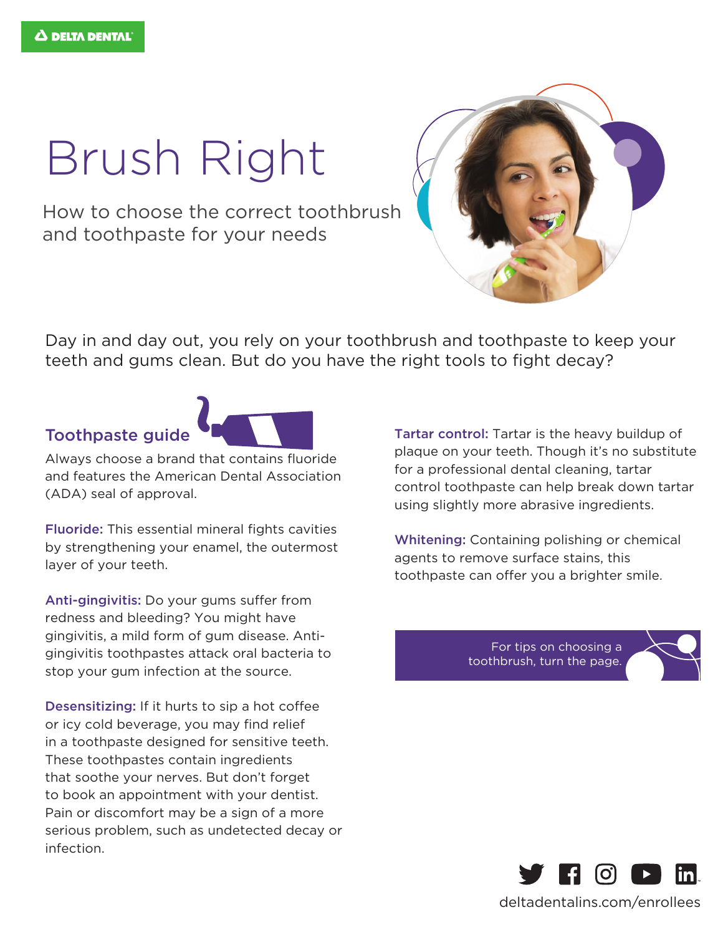## Brush Right

How to choose the correct toothbrush and toothpaste for your needs



Day in and day out, you rely on your toothbrush and toothpaste to keep your teeth and gums clean. But do you have the right tools to fight decay?

## Toothpaste guide



Always choose a brand that contains fluoride and features the American Dental Association (ADA) seal of approval.

Fluoride: This essential mineral fights cavities by strengthening your enamel, the outermost layer of your teeth.

Anti-gingivitis: Do your gums suffer from redness and bleeding? You might have gingivitis, a mild form of gum disease. Antigingivitis toothpastes attack oral bacteria to stop your gum infection at the source.

Desensitizing: If it hurts to sip a hot coffee or icy cold beverage, you may find relief in a toothpaste designed for sensitive teeth. These toothpastes contain ingredients that soothe your nerves. But don't forget to book an appointment with your dentist. Pain or discomfort may be a sign of a more serious problem, such as undetected decay or infection.

Tartar control: Tartar is the heavy buildup of plaque on your teeth. Though it's no substitute for a professional dental cleaning, tartar control toothpaste can help break down tartar using slightly more abrasive ingredients.

Whitening: Containing polishing or chemical agents to remove surface stains, this toothpaste can offer you a brighter smile.

> For tips on choosing a toothbrush, turn the page.





deltadentalins.com/enrollees